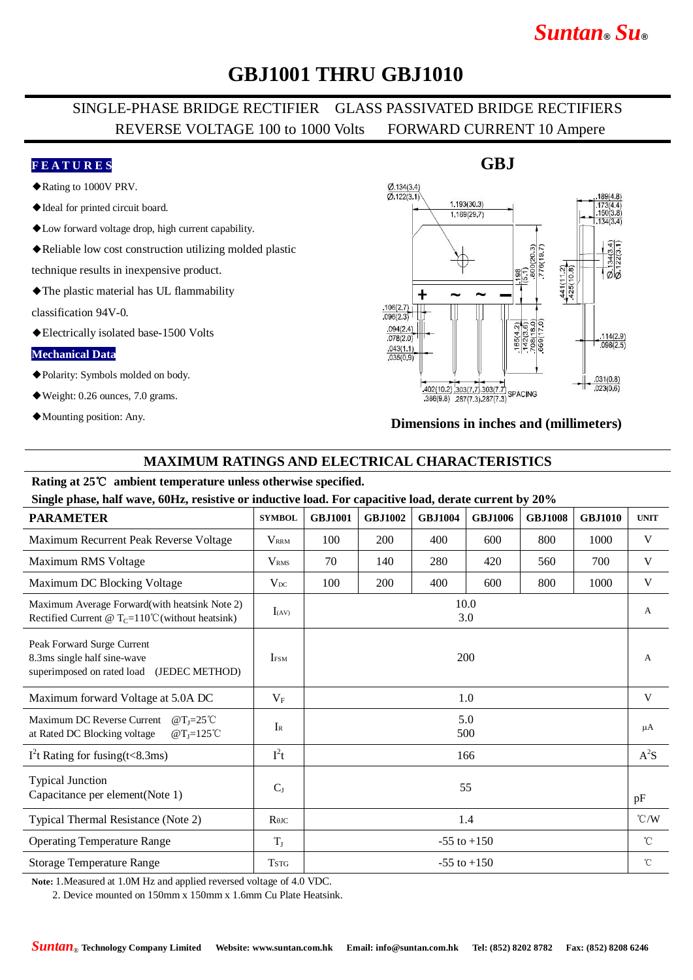# *Suntan***®** *Su***®**

## **GBJ1001 THRU GBJ1010**

## SINGLE-PHASE BRIDGE RECTIFIER GLASS PASSIVATED BRIDGE RECTIFIERS REVERSE VOLTAGE 100 to 1000 Volts FORWARD CURRENT 10 Ampere

#### **F E A T U R E S**

- ◆Rating to 1000V PRV.
- ◆Ideal for printed circuit board.
- ◆Low forward voltage drop, high current capability.
- ◆Reliable low cost construction utilizing molded plastic

technique results in inexpensive product.

◆The plastic material has UL flammability

classification 94V-0.

◆Electrically isolated base-1500 Volts

#### **Mechanical Data**

- ◆Polarity: Symbols molded on body.
- ◆Weight: 0.26 ounces, 7.0 grams.
- ◆Mounting position: Any.



#### **Dimensions in inches and (millimeters)**

### **MAXIMUM RATINGS AND ELECTRICAL CHARACTERISTICS**

#### **Rating at 25**℃ **ambient temperature unless otherwise specified.**

**Single phase, half wave, 60Hz, resistive or inductive load. For capacitive load, derate current by 20%**

| <b>PARAMETER</b>                                                                                            | <b>SYMBOL</b>                        | <b>GBJ1001</b>  | <b>GBJ1002</b> | <b>GBJ1004</b> | <b>GBJ1006</b> | <b>GBJ1008</b> | <b>GBJ1010</b> | <b>UNIT</b>        |
|-------------------------------------------------------------------------------------------------------------|--------------------------------------|-----------------|----------------|----------------|----------------|----------------|----------------|--------------------|
| Maximum Recurrent Peak Reverse Voltage                                                                      | <b>VRRM</b>                          | 100             | 200            | 400            | 600            | 800            | 1000           | V                  |
| Maximum RMS Voltage                                                                                         | <b>V</b> <sub>RMS</sub>              | 70              | 140            | 280            | 420            | 560            | 700            | V                  |
| Maximum DC Blocking Voltage                                                                                 | $V_{DC}$                             | 100             | 200            | 400            | 600            | 800            | 1000           | V                  |
| Maximum Average Forward(with heatsink Note 2)<br>Rectified Current @ $T_c=110^{\circ}$ C (without heatsink) | $I_{(AV)}$                           | 10.0<br>3.0     |                |                |                |                |                | A                  |
| Peak Forward Surge Current<br>8.3ms single half sine-wave<br>(JEDEC METHOD)<br>superimposed on rated load   | <b>I</b> <sub>FSM</sub>              | 200             |                |                |                |                |                | $\overline{A}$     |
| Maximum forward Voltage at 5.0A DC                                                                          | $V_F$                                | 1.0             |                |                |                |                |                | V                  |
| Maximum DC Reverse Current<br>@ $T_I = 25^{\circ}C$<br>at Rated DC Blocking voltage<br>$@T_1=125°C$         | $I_{R}$                              | 5.0<br>500      |                |                |                |                |                | μA                 |
| $I2t$ Rating for fusing(t<8.3ms)                                                                            | $I^2t$                               | 166             |                |                |                |                |                | $A^2S$             |
| <b>Typical Junction</b><br>Capacitance per element(Note 1)                                                  | $C_{J}$                              | 55              |                |                |                |                |                | pF                 |
| Typical Thermal Resistance (Note 2)                                                                         | $R$ <sup><math>\theta</math>JC</sup> | 1.4             |                |                |                |                |                | $\rm ^{\circ}$ C/W |
| <b>Operating Temperature Range</b>                                                                          | $T_{J}$                              | $-55$ to $+150$ |                |                |                |                |                | $^{\circ}$ C       |
| <b>Storage Temperature Range</b>                                                                            | <b>TSTG</b>                          | $-55$ to $+150$ |                |                |                |                |                | $^{\circ}$ C       |

**Note:** 1.Measured at 1.0M Hz and applied reversed voltage of 4.0 VDC.

2. Device mounted on 150mm x 150mm x 1.6mm Cu Plate Heatsink.

### **GBJ**